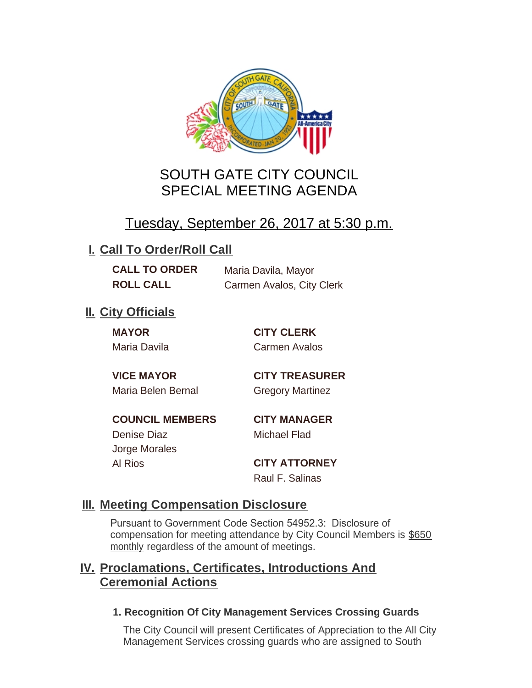

# SOUTH GATE CITY COUNCIL SPECIAL MEETING AGENDA

# Tuesday, September 26, 2017 at 5:30 p.m.

## **I. Call To Order/Roll Call**

**CALL TO ORDER** Maria Davila, Mayor **ROLL CALL** Carmen Avalos, City Clerk

## **II.** City Officials

**MAYOR CITY CLERK**

Maria Davila Carmen Avalos

Maria Belen Bernal **Gregory Martinez** 

**VICE MAYOR CITY TREASURER**

**COUNCIL MEMBERS CITY MANAGER** Denise Diaz Michael Flad Jorge Morales

Al Rios **CITY ATTORNEY**

Raul F. Salinas

### **Meeting Compensation Disclosure III.**

Pursuant to Government Code Section 54952.3: Disclosure of compensation for meeting attendance by City Council Members is \$650 monthly regardless of the amount of meetings.

### **Proclamations, Certificates, Introductions And IV. Ceremonial Actions**

#### **1. Recognition Of City Management Services Crossing Guards**

The City Council will present Certificates of Appreciation to the All City Management Services crossing guards who are assigned to South